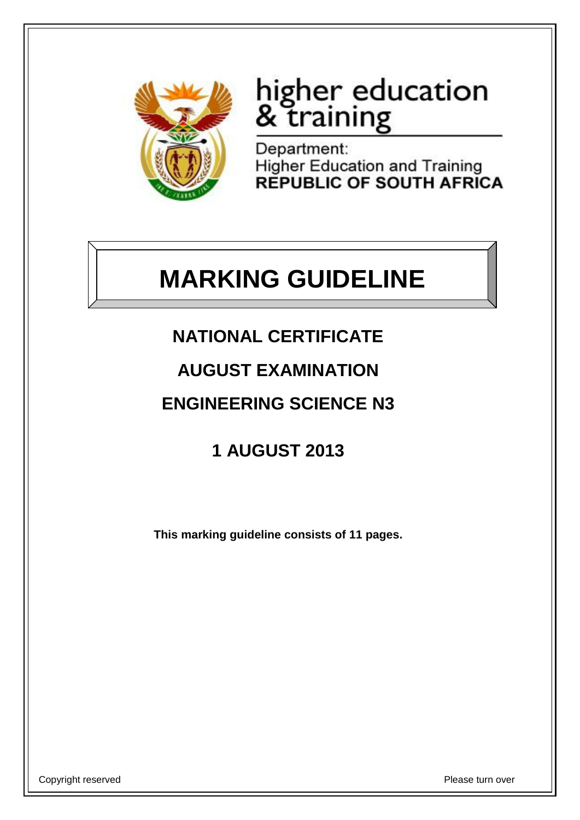

# higher education<br>& training

Department: Higher Education and Training<br>REPUBLIC OF SOUTH AFRICA

## **MARKING GUIDELINE**

- **NATIONAL CERTIFICATE**
- **AUGUST EXAMINATION**

### **ENGINEERING SCIENCE N3**

**1 AUGUST 2013**

**This marking guideline consists of 11 pages.**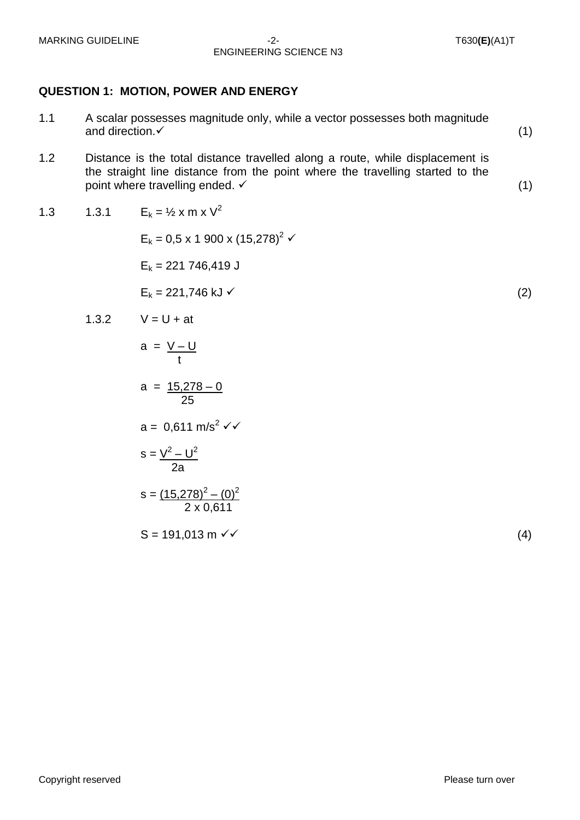#### MARKING GUIDELINE -2- T630**(E)**(A1)T ENGINEERING SCIENCE N3

#### **QUESTION 1: MOTION, POWER AND ENERGY**

- 1.1 A scalar possesses magnitude only, while a vector possesses both magnitude and direction.  $\checkmark$  (1)
- 1.2 Distance is the total distance travelled along a route, while displacement is the straight line distance from the point where the travelling started to the point where travelling ended.  $\checkmark$  (1)

1.3 1.3.1 
$$
E_k = \frac{1}{2} \times m \times V^2
$$

 $E_k = 0.5 \times 1$  900 x  $(15,278)^2$   $\checkmark$  $E_k$  = 221 746,419 J  $E_k = 221,746 \text{ kJ}$  (2)

1.3.2 
$$
V = U + at
$$

a = <u>V – U</u> t  $a = 15,278 - 0$ 

25

 $a = 0,611 \text{ m/s}^2 \checkmark$ 

$$
s = \frac{V^2 - U^2}{2a}
$$

$$
s = \frac{(15,278)^2 - (0)^2}{2 \times 0,611}
$$

$$
S = 191,013 \text{ m } \checkmark \tag{4}
$$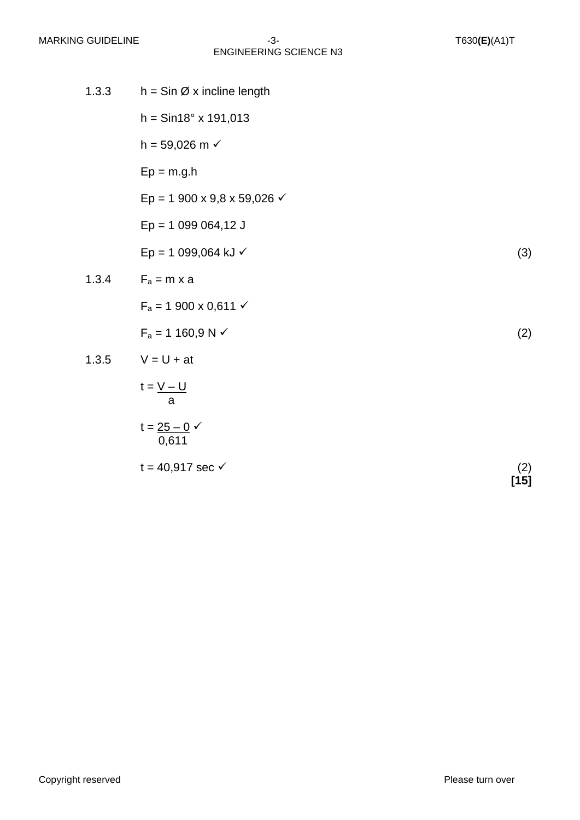| 1.3.3 | $h = \sin \varnothing$ x incline length       |               |
|-------|-----------------------------------------------|---------------|
|       | $h = \frac{sin 18^{\circ} \times 191,013}{h}$ |               |
|       | $h = 59,026 \text{ m}$                        |               |
|       | $Ep = m.g.h$                                  |               |
|       | Ep = 1 900 x 9,8 x 59,026 $\checkmark$        |               |
|       | $Ep = 1099064,12 J$                           |               |
|       | Ep = 1 099,064 kJ $\checkmark$                | (3)           |
| 1.3.4 | $F_a = m \times a$                            |               |
|       | $F_a = 1900 \times 0,611 \checkmark$          |               |
|       | $F_a = 1160, 9 N \checkmark$                  | (2)           |
| 1.3.5 | $V = U + at$                                  |               |
|       | $t = V - U$<br>a                              |               |
|       | $t = 25 - 0 \checkmark$<br>0,611              |               |
|       | $t = 40,917$ sec $\checkmark$                 | (2)<br>$[15]$ |

Copyright reserved **Please** turn over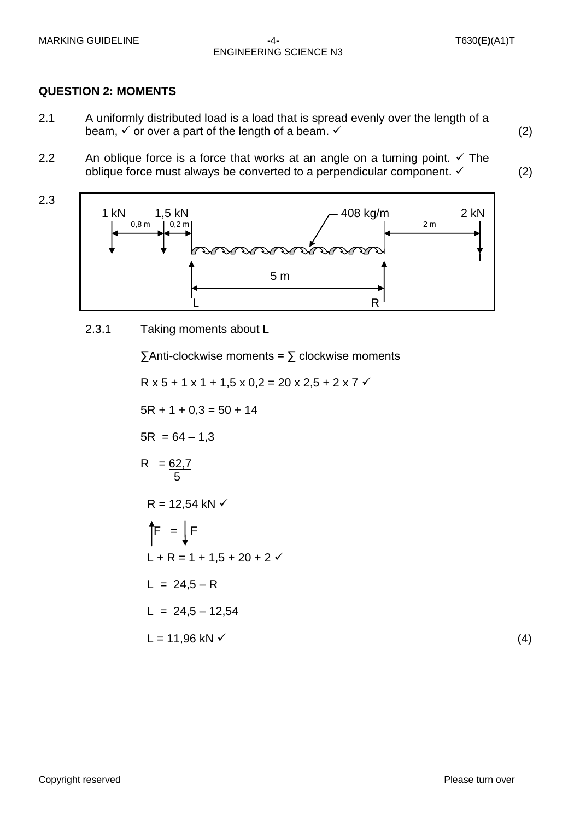2.3

#### MARKING GUIDELINE -4- T630**(E)**(A1)T ENGINEERING SCIENCE N3

#### **QUESTION 2: MOMENTS**

- 2.1 A uniformly distributed load is a load that is spread evenly over the length of a beam,  $\checkmark$  or over a part of the length of a beam.  $\checkmark$  is the same of the length of a beam.  $\checkmark$  is the same of the length of a beam.  $\checkmark$  is the same of the length of a beam.  $\checkmark$  is the same of the same of the sam
- 2.2 An oblique force is a force that works at an angle on a turning point.  $\checkmark$  The oblique force must always be converted to a perpendicular component.  $\checkmark$  (2)

- 1 kN  $1,5$  kN  $\begin{array}{ccc} 1,5 & 2 \text{ kN} \\ 1,0,8 & 1,0,2 \text{ m} \end{array}$  2 kN  $\begin{array}{|c|c|c|c|c|}\n\hline\n\text{0,8 m} & \text{0,2 m} \\
\hline\n\end{array}$  $\mathcal{D}$  $\curvearrowright$  $\curvearrowleft$  $5 \text{ m}$ <u>L</u> R
	- 2.3.1 Taking moments about L

 $\sum$ Anti-clockwise moments =  $\sum$  clockwise moments

 $R$  x 5 + 1 x 1 + 1,5 x 0,2 = 20 x 2,5 + 2 x 7  $\checkmark$  $5R + 1 + 0.3 = 50 + 14$  $5R = 64 - 1,3$  $R = 62,7$  5  $R = 12,54$  kN  $\checkmark$  $\uparrow$  =  $\downarrow$  F  $L + R = 1 + 1.5 + 20 + 2 \checkmark$  $L = 24.5 - R$  $L = 24,5 - 12,54$  $L = 11,96$  kN  $\checkmark$ 

(4)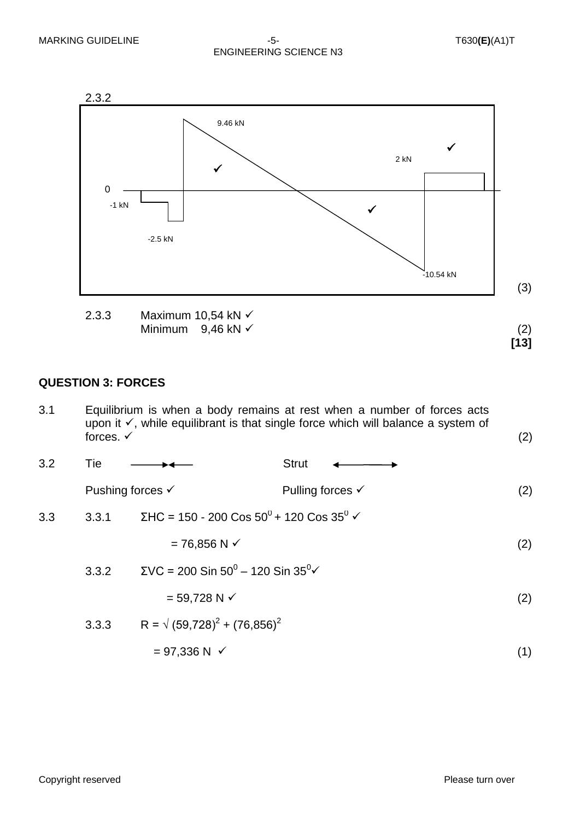#### MARKING GUIDELINE  $-5$ - T630**(E)**(A1)T ENGINEERING SCIENCE N3

**[13]**



2.3.3 Maximum 10,54 kN Minimum  $9,46$  kN  $\checkmark$  (2)

#### **QUESTION 3: FORCES**

3.1 Equilibrium is when a body remains at rest when a number of forces acts upon it  $\checkmark$ , while equilibrant is that single force which will balance a system of forces.  $\checkmark$ forces.  $\checkmark$  (2)

| 3.2 | Tie   |                                                                 | Strut                       |     |
|-----|-------|-----------------------------------------------------------------|-----------------------------|-----|
|     |       | Pushing forces $\checkmark$                                     | Pulling forces $\checkmark$ | (2) |
| 3.3 | 3.3.1 | ΣHC = 150 - 200 Cos 50 <sup>0</sup> + 120 Cos 35 <sup>0</sup> ✓ |                             |     |
|     |       |                                                                 |                             |     |

$$
= 76,856 \text{ N} \checkmark \tag{2}
$$

3.3.2 
$$
\Sigma VC = 200 \sin 50^0 - 120 \sin 35^0 \checkmark
$$
  
= 59,728 N  $\checkmark$  (2)

3.3.3 R = 
$$
\sqrt{(59,728)^2 + (76,856)^2}
$$
  
= 97,336 N √ (1)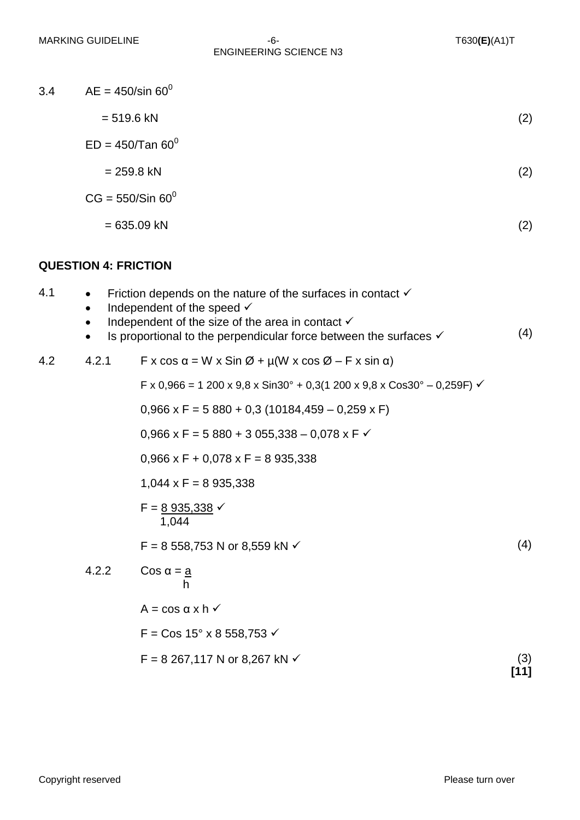| 3.4 | $AE = 450$ /sin 60 <sup>0</sup>                                                     |     |
|-----|-------------------------------------------------------------------------------------|-----|
|     | $= 519.6$ kN                                                                        | (2) |
|     | $ED = 450/Tan 60^0$                                                                 |     |
|     | $= 259.8$ kN                                                                        | (2) |
|     | $CG = 550/Sin 60^0$                                                                 |     |
|     | $= 635.09$ kN                                                                       | (2) |
|     | <b>QUESTION 4: FRICTION</b>                                                         |     |
| 4.1 | Friction depends on the nature of the surfaces in contact $\checkmark$<br>$\bullet$ |     |

- $\bullet$  Independent of the speed  $\checkmark$
- $\bullet$  Independent of the size of the area in contact  $\checkmark$
- $\bullet$  Is proportional to the perpendicular force between the surfaces  $\checkmark$ (4)

4.2 4.2.1 
$$
F \times \cos \alpha = W \times \sin \varnothing + \mu(W \times \cos \varnothing - F \times \sin \alpha)
$$

F x 0,966 = 1 200 x 9,8 x Sin30° + 0,3(1 200 x 9,8 x Cos30° – 0,259F)  $\checkmark$ 

$$
0,966 \times F = 5\,880 + 0,3\,(10184,459 - 0,259 \times F)
$$

0,966 x F = 5 880 + 3 055,338 - 0,078 x F  $\checkmark$ 

 $0,966 \times F + 0,078 \times F = 8\,935,338$ 

 $1,044 \times F = 8935,338$ 

$$
F = \frac{8\,935,338}{1,044} \checkmark
$$

 $F = 8558,753 \text{ N or } 8,559 \text{ kN} \checkmark$  (4)

4.2.2 
$$
\cos \alpha = \frac{a}{h}
$$
  
\nA = cos α x h √  
\nF = Cos 15° x 8 558,753 √  
\nF = 8 267,117 N or 8,267 kN √ (3)

**[11]**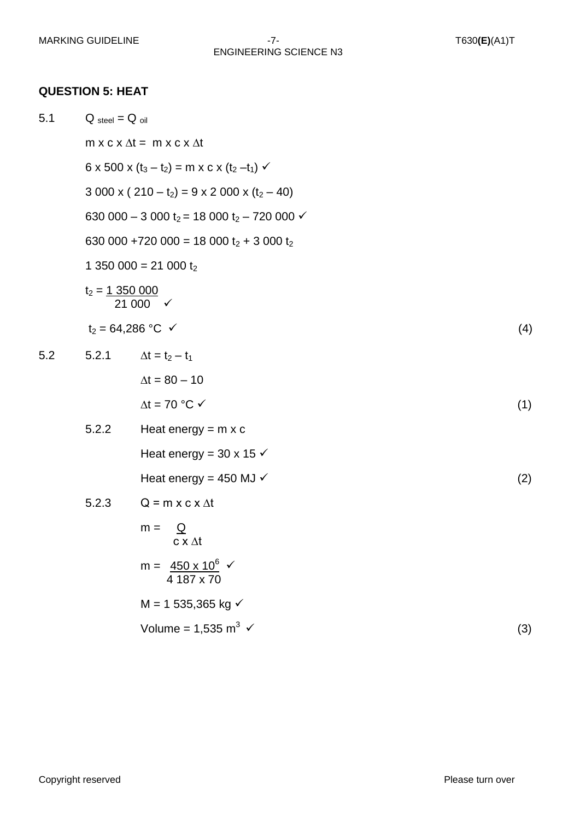#### **QUESTION 5: HEAT**

| 5.1 |       | $Q_{\text{steel}} = Q_{\text{oil}}$                                           |     |  |  |  |
|-----|-------|-------------------------------------------------------------------------------|-----|--|--|--|
|     |       | $m \times c \times \Delta t = m \times c \times \Delta t$                     |     |  |  |  |
|     |       | 6 x 500 x $(t_3 - t_2)$ = m x c x $(t_2 - t_1)$ $\checkmark$                  |     |  |  |  |
|     |       | $3000 \times (210 - t_2) = 9 \times 2000 \times (t_2 - 40)$                   |     |  |  |  |
|     |       | 630 000 - 3 000 t <sub>2</sub> = 18 000 t <sub>2</sub> - 720 000 $\checkmark$ |     |  |  |  |
|     |       | 630 000 +720 000 = 18 000 $t_2$ + 3 000 $t_2$                                 |     |  |  |  |
|     |       | 1 350 000 = 21 000 $t_2$                                                      |     |  |  |  |
|     |       | $t_2 = 1350000$<br>21 000 $\checkmark$                                        |     |  |  |  |
|     |       | $t_2 = 64,286 °C \checkmark$                                                  |     |  |  |  |
| 5.2 | 5.2.1 | $\Delta t = t_2 - t_1$                                                        |     |  |  |  |
|     |       | $\Delta t = 80 - 10$                                                          |     |  |  |  |
|     |       | $\Delta t = 70$ °C $\checkmark$                                               | (1) |  |  |  |
|     | 5.2.2 | Heat energy = $m \times c$                                                    |     |  |  |  |
|     |       | Heat energy = 30 x 15 $\checkmark$                                            |     |  |  |  |
|     |       | Heat energy = 450 MJ $\checkmark$                                             | (2) |  |  |  |
|     | 5.2.3 | $Q = m \times c \times \Delta t$                                              |     |  |  |  |
|     |       | $m =$<br>$\overline{\mathsf{Q}}$<br>$c \times \Delta t$                       |     |  |  |  |
|     |       | m = $\frac{450 \times 10^6}{ }$ $\checkmark$<br>4 187 x 70                    |     |  |  |  |
|     |       | $M = 1 535,365$ kg $\checkmark$                                               |     |  |  |  |
|     |       | Volume = $1,535$ m <sup>3</sup> $\checkmark$                                  | (3) |  |  |  |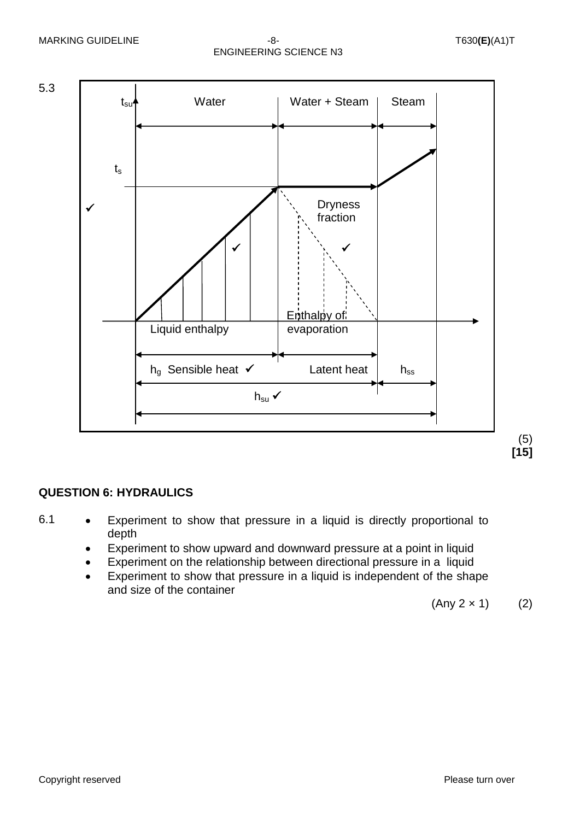

#### **QUESTION 6: HYDRAULICS**

- 6.1 Experiment to show that pressure in a liquid is directly proportional to depth
	- Experiment to show upward and downward pressure at a point in liquid
	- Experiment on the relationship between directional pressure in a liquid
	- Experiment to show that pressure in a liquid is independent of the shape and size of the container

 $(Any 2 × 1)$  (2)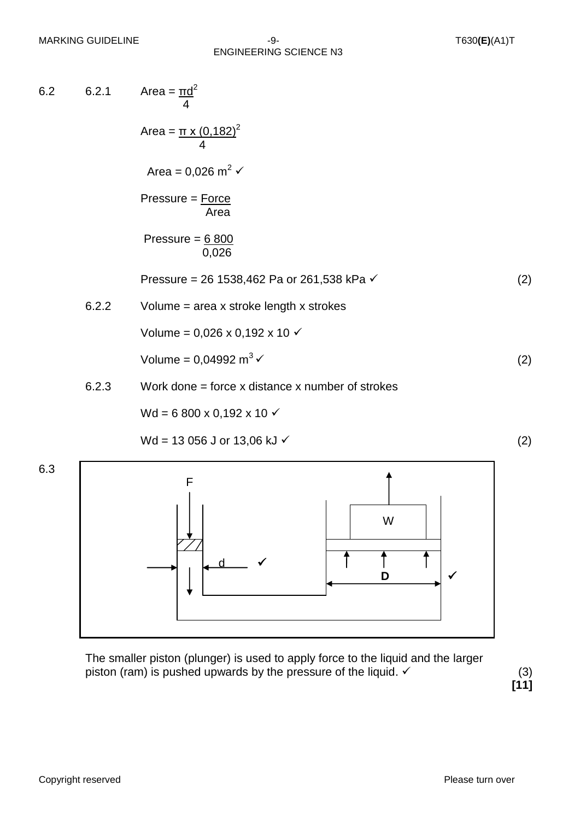#### MARKING GUIDELINE -9- T630**(E)**(A1)T ENGINEERING SCIENCE N3

6.2 6.2.1 Area =  $\text{rd}^2$  4 Area =  $\pi$  x (0,182)<sup>2</sup> 4 Area =  $0,026$  m<sup>2</sup>  $\checkmark$ Pressure = Force Area Pressure =  $6800$  0,026 Pressure = 26 1538,462 Pa or 261,538 kPa  $\checkmark$  (2) 6.2.2 Volume = area x stroke length x strokes Volume =  $0.026 \times 0.192 \times 10 \times$ Volume =  $0.04992 \text{ m}^3$   $\checkmark$  (2) 6.2.3 Work done = force x distance x number of strokes  $Wd = 6800 \times 0,192 \times 10$ 

$$
Wd = 13 056 J or 13,06 kJ \checkmark
$$
 (2)



The smaller piston (plunger) is used to apply force to the liquid and the larger piston (ram) is pushed upwards by the pressure of the liquid.  $\checkmark$  (3)

**[11]**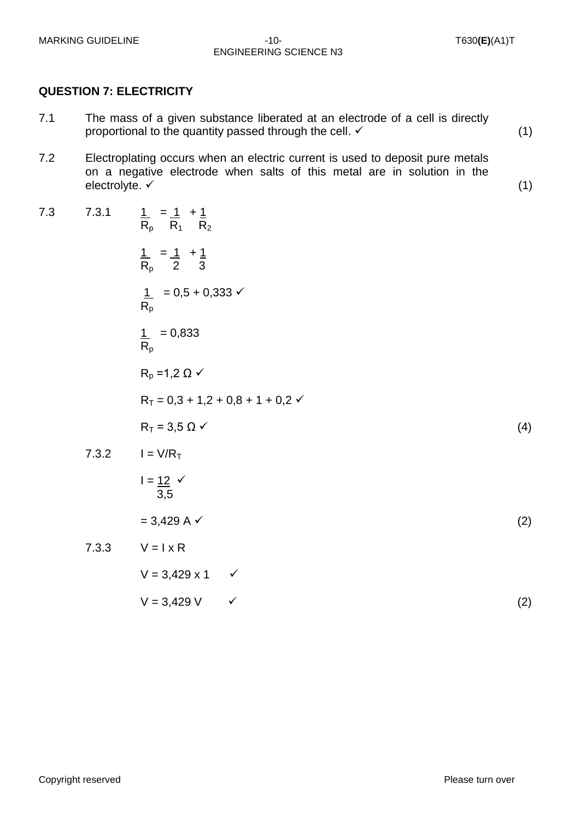#### MARKING GUIDELINE -10-<br>  $-10-$  T630**(E)**(A1)T ENGINEERING SCIENCE N3

#### **QUESTION 7: ELECTRICITY**

- 7.1 The mass of a given substance liberated at an electrode of a cell is directly proportional to the quantity passed through the cell.  $\checkmark$  (1)
- 7.2 Electroplating occurs when an electric current is used to deposit pure metals on a negative electrode when salts of this metal are in solution in the  $e$ lectrolyte.  $\checkmark$  (1)

7.3 7.3.1 
$$
\frac{1}{R_p} = \frac{1}{R_1} + \frac{1}{R_2}
$$
  
\n $\frac{1}{R_p} = \frac{1}{2} + \frac{1}{3}$   
\n $\frac{1}{R_p} = 0.5 + 0.333 \checkmark$   
\n $\frac{1}{R_p} = 0.833$   
\n $\frac{1}{R_p} = 1.2 \Omega \checkmark$   
\n $R_T = 0.3 + 1.2 + 0.8 + 1 + 0.2 \checkmark$   
\n $R_T = 3.5 \Omega \checkmark$   
\n7.3.2  $I = V/R_T$   
\n $I = \frac{12}{3.5}$   
\n $= 3,429 \text{ A} \checkmark$   
\n7.3.3  $V = I \times R$   
\n $V = 3,429 \times 1 \checkmark$   
\n $V = 3,429 \times 1 \checkmark$   
\n(2)